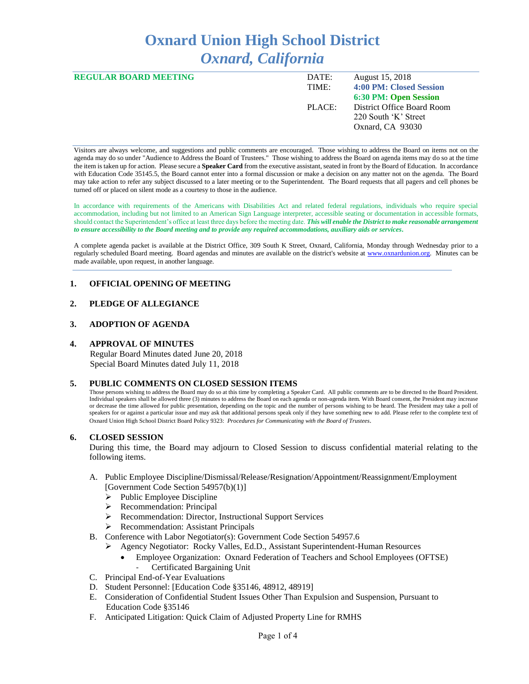# **Oxnard Union High School District** *Oxnard, California*

| <b>REGULAR BOARD MEETING</b> | DATE:  | August 15, 2018              |
|------------------------------|--------|------------------------------|
|                              | TIME:  | 4:00 PM: Closed Session      |
|                              |        | <b>6:30 PM: Open Session</b> |
|                              | PLACE: | District Office Board Room   |
|                              |        | 220 South 'K' Street         |
|                              |        | Oxnard, CA 93030             |
|                              |        |                              |

Visitors are always welcome, and suggestions and public comments are encouraged. Those wishing to address the Board on items not on the agenda may do so under "Audience to Address the Board of Trustees." Those wishing to address the Board on agenda items may do so at the time the item is taken up for action. Please secure a **Speaker Card** from the executive assistant, seated in front by the Board of Education. In accordance with Education Code 35145.5, the Board cannot enter into a formal discussion or make a decision on any matter not on the agenda. The Board may take action to refer any subject discussed to a later meeting or to the Superintendent. The Board requests that all pagers and cell phones be turned off or placed on silent mode as a courtesy to those in the audience.

In accordance with requirements of the Americans with Disabilities Act and related federal regulations, individuals who require special accommodation, including but not limited to an American Sign Language interpreter, accessible seating or documentation in accessible formats, should contact the Superintendent's office at least three days before the meeting date. *This will enable the District to make reasonable arrangement to ensure accessibility to the Board meeting and to provide any required accommodations, auxiliary aids or services.* 

A complete agenda packet is available at the District Office, 309 South K Street, Oxnard, California, Monday through Wednesday prior to a regularly scheduled Board meeting. Board agendas and minutes are available on the district's website at [www.ox](http://www.o/)nardunion.org.Minutes can be made available, upon request, in another language.

# **1. OFFICIAL OPENING OF MEETING**

# **2. PLEDGE OF ALLEGIANCE**

#### **3. ADOPTION OF AGENDA**

#### **4. APPROVAL OF MINUTES**

 Regular Board Minutes dated June 20, 2018 Special Board Minutes dated July 11, 2018

#### **5. PUBLIC COMMENTS ON CLOSED SESSION ITEMS**

Those persons wishing to address the Board may do so at this time by completing a Speaker Card. All public comments are to be directed to the Board President. Individual speakers shall be allowed three (3) minutes to address the Board on each agenda or non-agenda item. With Board consent, the President may increase or decrease the time allowed for public presentation, depending on the topic and the number of persons wishing to be heard. The President may take a poll of speakers for or against a particular issue and may ask that additional persons speak only if they have something new to add. Please refer to the complete text of Oxnard Union High School District Board Policy 9323: *Procedures for Communicating with the Board of Trustees*.

#### **6. CLOSED SESSION**

During this time, the Board may adjourn to Closed Session to discuss confidential material relating to the following items.

#### A. Public Employee Discipline/Dismissal/Release/Resignation/Appointment/Reassignment/Employment [Government Code Section 54957(b)(1)]

- $\triangleright$  Public Employee Discipline
- ➢ Recommendation: Principal
- ➢ Recommendation: Director, Instructional Support Services
- ➢ Recommendation: Assistant Principals
- B. Conference with Labor Negotiator(s): Government Code Section 54957.6
	- ➢ Agency Negotiator: Rocky Valles, Ed.D., Assistant Superintendent-Human Resources
		- Employee Organization: Oxnard Federation of Teachers and School Employees (OFTSE) Certificated Bargaining Unit
- C. Principal End-of-Year Evaluations
- D. Student Personnel: [Education Code §35146, 48912, 48919]
- E. Consideration of Confidential Student Issues Other Than Expulsion and Suspension, Pursuant to Education Code §35146
- F. Anticipated Litigation: Quick Claim of Adjusted Property Line for RMHS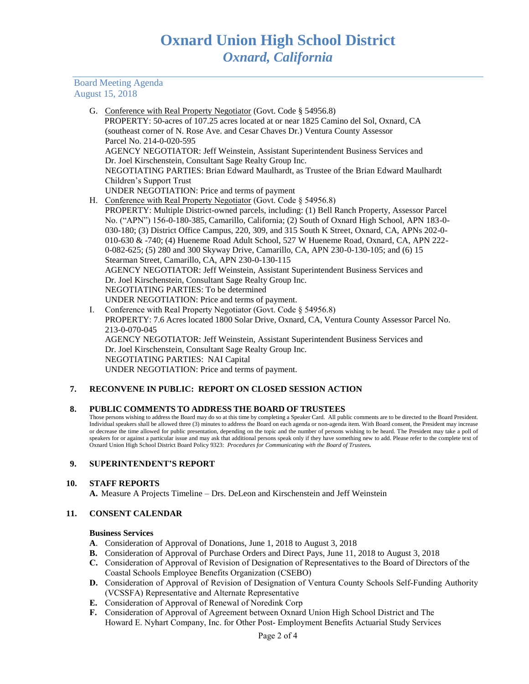## Board Meeting Agenda August 15, 2018

|    | G. Conference with Real Property Negotiator (Govt. Code § 54956.8)                             |
|----|------------------------------------------------------------------------------------------------|
|    | PROPERTY: 50-acres of 107.25 acres located at or near 1825 Camino del Sol, Oxnard, CA          |
|    | (southeast corner of N. Rose Ave. and Cesar Chaves Dr.) Ventura County Assessor                |
|    | Parcel No. 214-0-020-595                                                                       |
|    | <b>AGENCY NEGOTIATOR: Jeff Weinstein, Assistant Superintendent Business Services and</b>       |
|    | Dr. Joel Kirschenstein, Consultant Sage Realty Group Inc.                                      |
|    | NEGOTIATING PARTIES: Brian Edward Maulhardt, as Trustee of the Brian Edward Maulhardt          |
|    | Children's Support Trust                                                                       |
|    | UNDER NEGOTIATION: Price and terms of payment                                                  |
|    | H. Conference with Real Property Negotiator (Govt. Code § 54956.8)                             |
|    | PROPERTY: Multiple District-owned parcels, including: (1) Bell Ranch Property, Assessor Parcel |
|    | No. ("APN") 156-0-180-385, Camarillo, California; (2) South of Oxnard High School, APN 183-0-  |
|    | 030-180; (3) District Office Campus, 220, 309, and 315 South K Street, Oxnard, CA, APNs 202-0- |
|    | 010-630 & -740; (4) Hueneme Road Adult School, 527 W Hueneme Road, Oxnard, CA, APN 222-        |
|    | 0-082-625; (5) 280 and 300 Skyway Drive, Camarillo, CA, APN 230-0-130-105; and (6) 15          |
|    | Stearman Street, Camarillo, CA, APN 230-0-130-115                                              |
|    | AGENCY NEGOTIATOR: Jeff Weinstein, Assistant Superintendent Business Services and              |
|    | Dr. Joel Kirschenstein, Consultant Sage Realty Group Inc.                                      |
|    | NEGOTIATING PARTIES: To be determined                                                          |
|    | UNDER NEGOTIATION: Price and terms of payment.                                                 |
| L. | Conference with Real Property Negotiator (Govt. Code § 54956.8)                                |

PROPERTY: 7.6 Acres located 1800 Solar Drive, Oxnard, CA, Ventura County Assessor Parcel No. 213-0-070-045 AGENCY NEGOTIATOR: Jeff Weinstein, Assistant Superintendent Business Services and Dr. Joel Kirschenstein, Consultant Sage Realty Group Inc. NEGOTIATING PARTIES: NAI Capital UNDER NEGOTIATION: Price and terms of payment.

# **7. RECONVENE IN PUBLIC: REPORT ON CLOSED SESSION ACTION**

#### **8. PUBLIC COMMENTS TO ADDRESS THE BOARD OF TRUSTEES**

Those persons wishing to address the Board may do so at this time by completing a Speaker Card. All public comments are to be directed to the Board President. Individual speakers shall be allowed three (3) minutes to address the Board on each agenda or non-agenda item. With Board consent, the President may increase or decrease the time allowed for public presentation, depending on the topic and the number of persons wishing to be heard. The President may take a poll of speakers for or against a particular issue and may ask that additional persons speak only if they have something new to add. Please refer to the complete text of Oxnard Union High School District Board Policy 9323: *Procedures for Communicating with the Board of Trustees.*

# **9. SUPERINTENDENT'S REPORT**

#### **10. STAFF REPORTS**

**A.** Measure A Projects Timeline – Drs. DeLeon and Kirschenstein and Jeff Weinstein

### **11. CONSENT CALENDAR**

#### **Business Services**

- **A**. Consideration of Approval of Donations, June 1, 2018 to August 3, 2018
- **B.** Consideration of Approval of Purchase Orders and Direct Pays, June 11, 2018 to August 3, 2018
- **C.** Consideration of Approval of Revision of Designation of Representatives to the Board of Directors of the Coastal Schools Employee Benefits Organization (CSEBO)
- **D.** Consideration of Approval of Revision of Designation of Ventura County Schools Self-Funding Authority (VCSSFA) Representative and Alternate Representative
- **E.** Consideration of Approval of Renewal of Noredink Corp
- **F.** Consideration of Approval of Agreement between Oxnard Union High School District and The Howard E. Nyhart Company, Inc. for Other Post- Employment Benefits Actuarial Study Services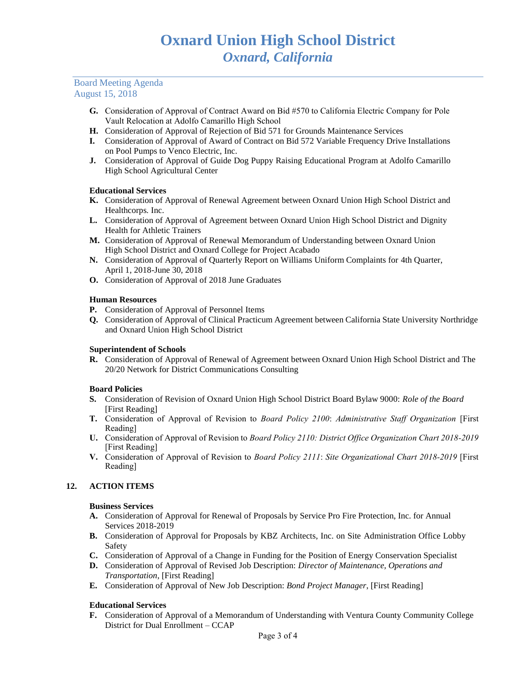#### Board Meeting Agenda August 15, 2018

- **G.** Consideration of Approval of Contract Award on Bid #570 to California Electric Company for Pole Vault Relocation at Adolfo Camarillo High School
- **H.** Consideration of Approval of Rejection of Bid 571 for Grounds Maintenance Services
- **I.** Consideration of Approval of Award of Contract on Bid 572 Variable Frequency Drive Installations on Pool Pumps to Venco Electric, Inc.
- **J.** Consideration of Approval of Guide Dog Puppy Raising Educational Program at Adolfo Camarillo High School Agricultural Center

# **Educational Services**

- **K.** Consideration of Approval of Renewal Agreement between Oxnard Union High School District and Healthcorps*.* Inc.
- **L.** Consideration of Approval of Agreement between Oxnard Union High School District and Dignity Health for Athletic Trainers
- **M.** Consideration of Approval of Renewal Memorandum of Understanding between Oxnard Union High School District and Oxnard College for Project Acabado
- **N.** Consideration of Approval of Quarterly Report on Williams Uniform Complaints for 4th Quarter, April 1, 2018-June 30, 2018
- **O.** Consideration of Approval of 2018 June Graduates

# **Human Resources**

- **P.** Consideration of Approval of Personnel Items
- **Q.** Consideration of Approval of Clinical Practicum Agreement between California State University Northridge and Oxnard Union High School District

#### **Superintendent of Schools**

**R.** Consideration of Approval of Renewal of Agreement between Oxnard Union High School District and The 20/20 Network for District Communications Consulting

#### **Board Policies**

- **S.** Consideration of Revision of Oxnard Union High School District Board Bylaw 9000: *Role of the Board* [First Reading]
- **T.** Consideration of Approval of Revision to *Board Policy 2100*: *Administrative Staff Organization* [First Reading]
- **U.** Consideration of Approval of Revision to *Board Policy 2110: District Office Organization Chart 2018-2019*  [First Reading]
- **V.** Consideration of Approval of Revision to *Board Policy 2111*: *Site Organizational Chart 2018-2019* [First Reading]

#### **12. ACTION ITEMS**

#### **Business Services**

- **A.** Consideration of Approval for Renewal of Proposals by Service Pro Fire Protection, Inc. for Annual Services 2018-2019
- **B.** Consideration of Approval for Proposals by KBZ Architects, Inc. on Site Administration Office Lobby Safety
- **C.** Consideration of Approval of a Change in Funding for the Position of Energy Conservation Specialist
- **D.** Consideration of Approval of Revised Job Description: *Director of Maintenance, Operations and Transportation*, [First Reading]
- **E.** Consideration of Approval of New Job Description: *Bond Project Manager*, [First Reading]

#### **Educational Services**

**F.** Consideration of Approval of a Memorandum of Understanding with Ventura County Community College District for Dual Enrollment – CCAP